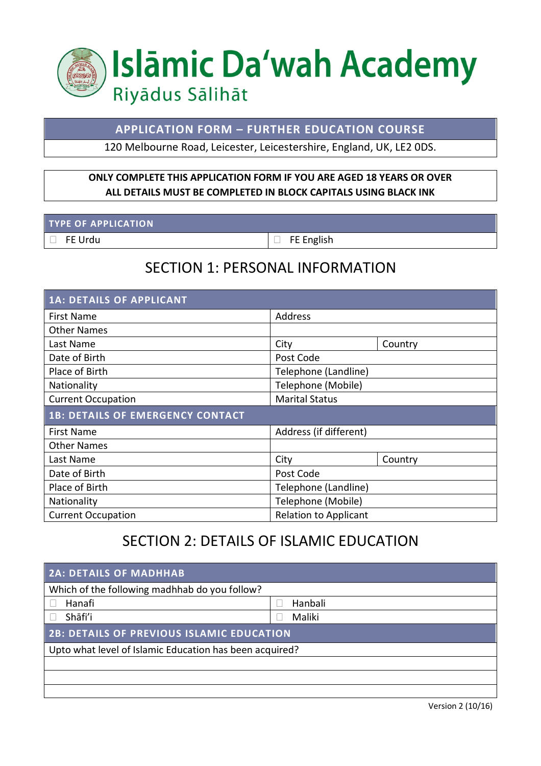

#### **APPLICATION FORM – FURTHER EDUCATION COURSE**

120 Melbourne Road, Leicester, Leicestershire, England, UK, LE2 0DS.

#### **ONLY COMPLETE THIS APPLICATION FORM IF YOU ARE AGED 18 YEARS OR OVER ALL DETAILS MUST BE COMPLETED IN BLOCK CAPITALS USING BLACK INK**

#### **TYPE OF APPLICATION**

FE Urdu FE English

## SECTION 1: PERSONAL INFORMATION

| <b>1A: DETAILS OF APPLICANT</b>         |                              |  |  |  |  |
|-----------------------------------------|------------------------------|--|--|--|--|
| <b>First Name</b>                       | <b>Address</b>               |  |  |  |  |
| <b>Other Names</b>                      |                              |  |  |  |  |
| Last Name                               | City<br>Country              |  |  |  |  |
| Date of Birth                           | Post Code                    |  |  |  |  |
| Place of Birth                          | Telephone (Landline)         |  |  |  |  |
| Nationality                             | Telephone (Mobile)           |  |  |  |  |
| <b>Current Occupation</b>               | <b>Marital Status</b>        |  |  |  |  |
| <b>1B: DETAILS OF EMERGENCY CONTACT</b> |                              |  |  |  |  |
| <b>First Name</b>                       | Address (if different)       |  |  |  |  |
| <b>Other Names</b>                      |                              |  |  |  |  |
| Last Name                               | City<br>Country              |  |  |  |  |
| Date of Birth                           | Post Code                    |  |  |  |  |
| Place of Birth                          | Telephone (Landline)         |  |  |  |  |
| Nationality                             | Telephone (Mobile)           |  |  |  |  |
| <b>Current Occupation</b>               | <b>Relation to Applicant</b> |  |  |  |  |

## SECTION 2: DETAILS OF ISLAMIC EDUCATION

| <b>2A: DETAILS OF MADHHAB</b>                           |         |  |  |  |
|---------------------------------------------------------|---------|--|--|--|
| Which of the following madhhab do you follow?           |         |  |  |  |
| Hanafi                                                  | Hanbali |  |  |  |
| Shāfi'i                                                 | Maliki  |  |  |  |
| <b>2B: DETAILS OF PREVIOUS ISLAMIC EDUCATION</b>        |         |  |  |  |
| Upto what level of Islamic Education has been acquired? |         |  |  |  |
|                                                         |         |  |  |  |
|                                                         |         |  |  |  |
|                                                         |         |  |  |  |

Version 2 (10/16)